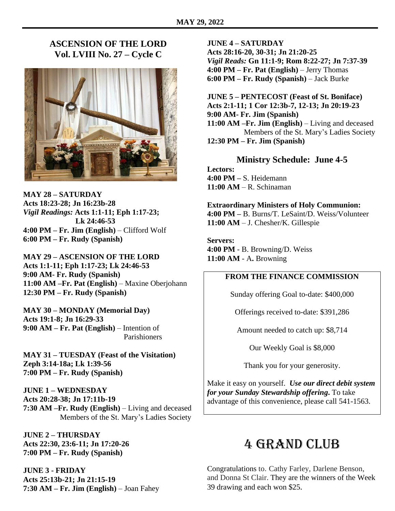### **ASCENSION OF THE LORD Vol. LVIII No. 27 – Cycle C**



**MAY 28 – SATURDAY Acts 18:23-28; Jn 16:23b-28** *Vigil Readings:* **Acts 1:1-11; Eph 1:17-23; Lk 24:46-53 4:00 PM – Fr. Jim (English)** – Clifford Wolf **6:00 PM – Fr. Rudy (Spanish)**

**MAY 29 – ASCENSION OF THE LORD Acts 1:1-11; Eph 1:17-23; Lk 24:46-53 9:00 AM- Fr. Rudy (Spanish) 11:00 AM –Fr. Pat (English)** – Maxine Oberjohann **12:30 PM – Fr. Rudy (Spanish)**

**MAY 30 – MONDAY (Memorial Day) Acts 19:1-8; Jn 16:29-33 9:00 AM – Fr. Pat (English)** – Intention of Parishioners

**MAY 31 – TUESDAY (Feast of the Visitation) Zeph 3:14-18a; Lk 1:39-56 7:00 PM – Fr. Rudy (Spanish)**

**JUNE 1 – WEDNESDAY Acts 20:28-38; Jn 17:11b-19 7:30 AM –Fr. Rudy (English)** – Living and deceased Members of the St. Mary's Ladies Society

**JUNE 2 – THURSDAY Acts 22:30, 23:6-11; Jn 17:20-26 7:00 PM – Fr. Rudy (Spanish)**

**JUNE 3 - FRIDAY Acts 25:13b-21; Jn 21:15-19 7:30 AM – Fr. Jim (English)** – Joan Fahey

#### **JUNE 4 – SATURDAY**

**Acts 28:16-20, 30-31; Jn 21:20-25** *Vigil Reads:* **Gn 11:1-9; Rom 8:22-27; Jn 7:37-39 4:00 PM – Fr. Pat (English)** – Jerry Thomas **6:00 PM – Fr. Rudy (Spanish)** – Jack Burke

**JUNE 5 – PENTECOST (Feast of St. Boniface) Acts 2:1-11; 1 Cor 12:3b-7, 12-13; Jn 20:19-23 9:00 AM- Fr. Jim (Spanish) 11:00 AM –Fr. Jim (English)** – Living and deceased Members of the St. Mary's Ladies Society **12:30 PM – Fr. Jim (Spanish)**

**Ministry Schedule: June 4-5**

**Lectors: 4:00 PM –** S. Heidemann **11:00 AM** – R. Schinaman

**Extraordinary Ministers of Holy Communion: 4:00 PM –** B. Burns/T. LeSaint/D. Weiss/Volunteer **11:00 AM** – J. Chesher/K. Gillespie

**Servers: 4:00 PM** - B. Browning/D. Weiss **11:00 AM** - A**.** Browning

#### **FROM THE FINANCE COMMISSION**

Sunday offering Goal to-date: \$400,000

Offerings received to-date: \$391,286

Amount needed to catch up: \$8,714

Our Weekly Goal is \$8,000

Thank you for your generosity.

Make it easy on yourself. *Use our direct debit system for your Sunday Stewardship offering***.** To take advantage of this convenience, please call 541-1563.

## 4 Grand Club

Congratulations to. Cathy Farley, Darlene Benson, and Donna St Clair. They are the winners of the Week 39 drawing and each won \$25.